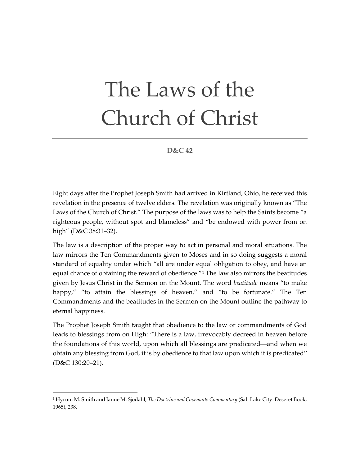## The Laws of the Church of Christ

**D&C 42**

Eight days after the Prophet Joseph Smith had arrived in Kirtland, Ohio, he received this revelation in the presence of twelve elders. The revelation was originally known as "The Laws of the Church of Christ." The purpose of the laws was to help the Saints become "a righteous people, without spot and blameless" and "be endowed with power from on high" (D&C 38:31–32).

The law is a description of the proper way to act in personal and moral situations. The law mirrors the Ten Commandments given to Moses and in so doing suggests a moral standard of equality under which "all are under equal obligation to obey, and have an equal chance of obtaining the reward of obedience.<sup>"[1](#page-0-0)</sup> The law also mirrors the beatitudes given by Jesus Christ in the Sermon on the Mount. The word *beatitude* means "to make happy," "to attain the blessings of heaven," and "to be fortunate." The Ten Commandments and the beatitudes in the Sermon on the Mount outline the pathway to eternal happiness.

The Prophet Joseph Smith taught that obedience to the law or commandments of God leads to blessings from on High: "There is a law, irrevocably decreed in heaven before the foundations of this world, upon which all blessings are predicated—and when we obtain any blessing from God, it is by obedience to that law upon which it is predicated" (D&C 130:20–21).

<span id="page-0-0"></span><sup>1</sup> Hyrum M. Smith and Janne M. Sjodahl, *The Doctrine and Covenants Commentary* (Salt Lake City: Deseret Book, 1965), 238.